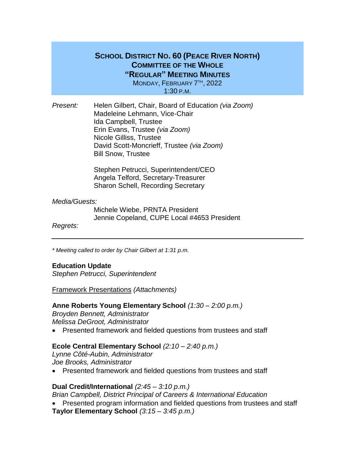## **SCHOOL DISTRICT NO. 60 (PEACE RIVER NORTH) COMMITTEE OF THE WHOLE "REGULAR" MEETING MINUTES**

MONDAY, FEBRUARY 7<sup>TH</sup>, 2022 1:30 P.M.

*Present:* Helen Gilbert, Chair, Board of Education *(via Zoom)* Madeleine Lehmann, Vice-Chair Ida Campbell, Trustee Erin Evans, Trustee *(via Zoom)* Nicole Gilliss, Trustee David Scott-Moncrieff, Trustee *(via Zoom)* Bill Snow, Trustee

> Stephen Petrucci, Superintendent/CEO Angela Telford, Secretary-Treasurer Sharon Schell, Recording Secretary

### *Media/Guests:*

Michele Wiebe, PRNTA President Jennie Copeland, CUPE Local #4653 President

*Regrets:*

*\* Meeting called to order by Chair Gilbert at 1:31 p.m.*

### **Education Update**

*Stephen Petrucci, Superintendent*

Framework Presentations *(Attachments)*

**Anne Roberts Young Elementary School** *(1:30 – 2:00 p.m.)*

*Broyden Bennett, Administrator Melissa DeGroot, Administrator*

Presented framework and fielded questions from trustees and staff

### **Ecole Central Elementary School** *(2:10 – 2:40 p.m.)*

*Lynne Côté-Aubin, Administrator Joe Brooks, Administrator*

Presented framework and fielded questions from trustees and staff

### **Dual Credit/International** *(2:45 – 3:10 p.m.)*

*Brian Campbell, District Principal of Careers & International Education*

• Presented program information and fielded questions from trustees and staff **Taylor Elementary School** *(3:15 – 3:45 p.m.)*